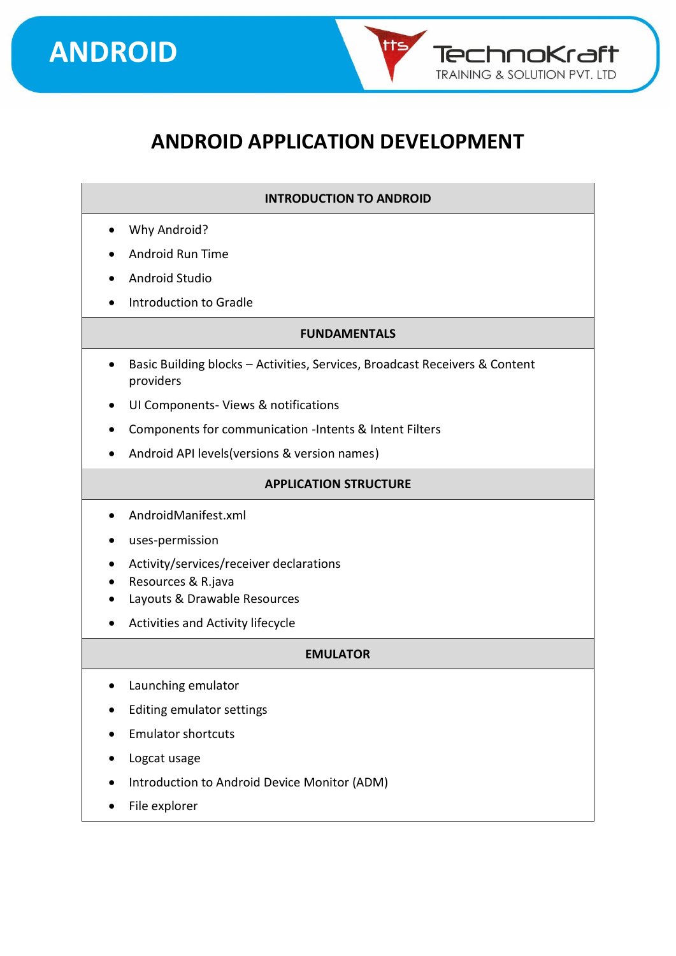



**TechnoKraft TRAINING & SOLUTION PVT. LTD** 

#### **INTRODUCTION TO ANDROID**

- Why Android?
- Android Run Time
- Android Studio
- Introduction to Gradle

#### **FUNDAMENTALS**

- Basic Building blocks Activities, Services, Broadcast Receivers & Content providers
- UI Components- Views & notifications
- Components for communication -Intents & Intent Filters
- Android API levels(versions & version names)

#### **APPLICATION STRUCTURE**

- AndroidManifest.xml
- uses-permission
- Activity/services/receiver declarations
- Resources & R.java
- Layouts & Drawable Resources
- Activities and Activity lifecycle

#### **EMULATOR**

- Launching emulator
- Editing emulator settings
- Emulator shortcuts
- Logcat usage
- Introduction to Android Device Monitor (ADM)
- File explorer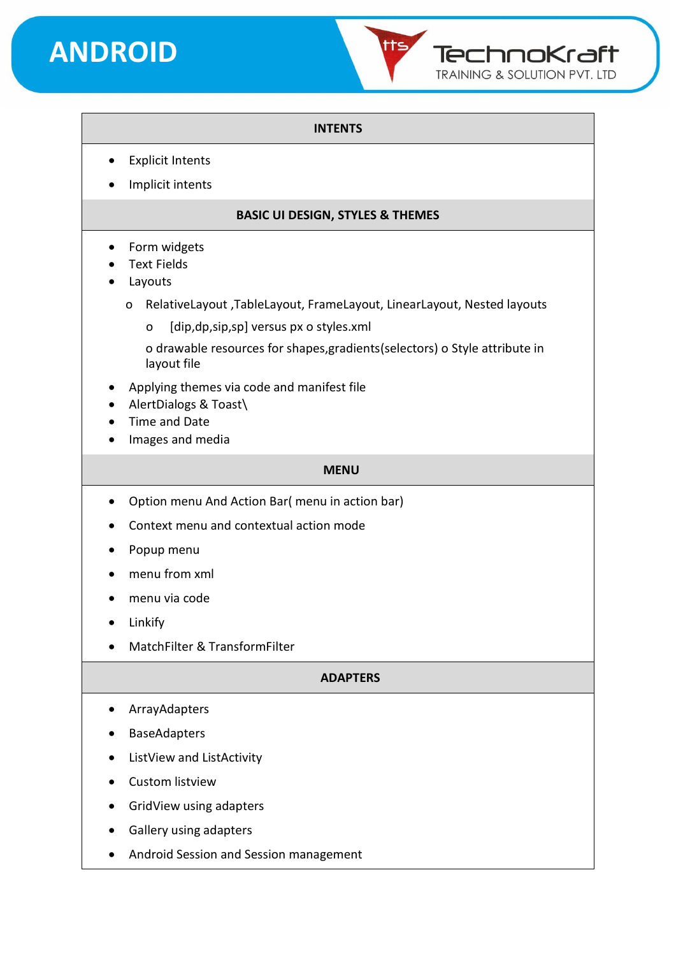## **ANDROID**



#### **INTENTS**

- **Explicit Intents**
- Implicit intents

#### **BASIC UI DESIGN, STYLES & THEMES**

- Form widgets
- Text Fields
- **Layouts** 
	- o RelativeLayout ,TableLayout, FrameLayout, LinearLayout, Nested layouts
		- o [dip,dp,sip,sp] versus px o styles.xml
		- o drawable resources for shapes,gradients(selectors) o Style attribute in layout file
- Applying themes via code and manifest file
- AlertDialogs & Toast\
- Time and Date
- Images and media

#### **MENU**

- Option menu And Action Bar( menu in action bar)
- Context menu and contextual action mode
- Popup menu
- menu from xml
- menu via code
- Linkify
- MatchFilter & TransformFilter

#### **ADAPTERS**

- ArrayAdapters
- BaseAdapters
- ListView and ListActivity
- Custom listview
- GridView using adapters
- Gallery using adapters
- Android Session and Session management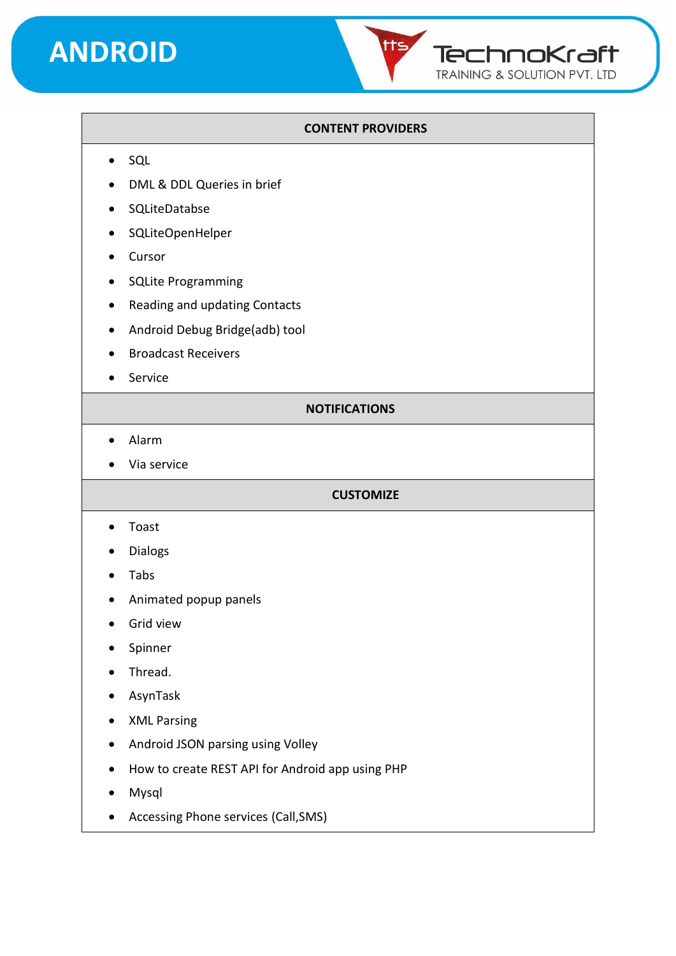### **ANDROID**



#### **CONTENT PROVIDERS**

- SQL
- DML & DDL Queries in brief
- SQLiteDatabse
- SQLiteOpenHelper
- Cursor
- SQLite Programming
- Reading and updating Contacts
- Android Debug Bridge(adb) tool
- Broadcast Receivers
- Service

#### **NOTIFICATIONS**

- Alarm
- Via service

#### **CUSTOMIZE**

- Toast
- Dialogs
- Tabs
- Animated popup panels
- Grid view
- Spinner
- Thread.
- AsynTask
- XML Parsing
- Android JSON parsing using Volley
- How to create REST API for Android app using PHP
- Mysql
- Accessing Phone services (Call,SMS)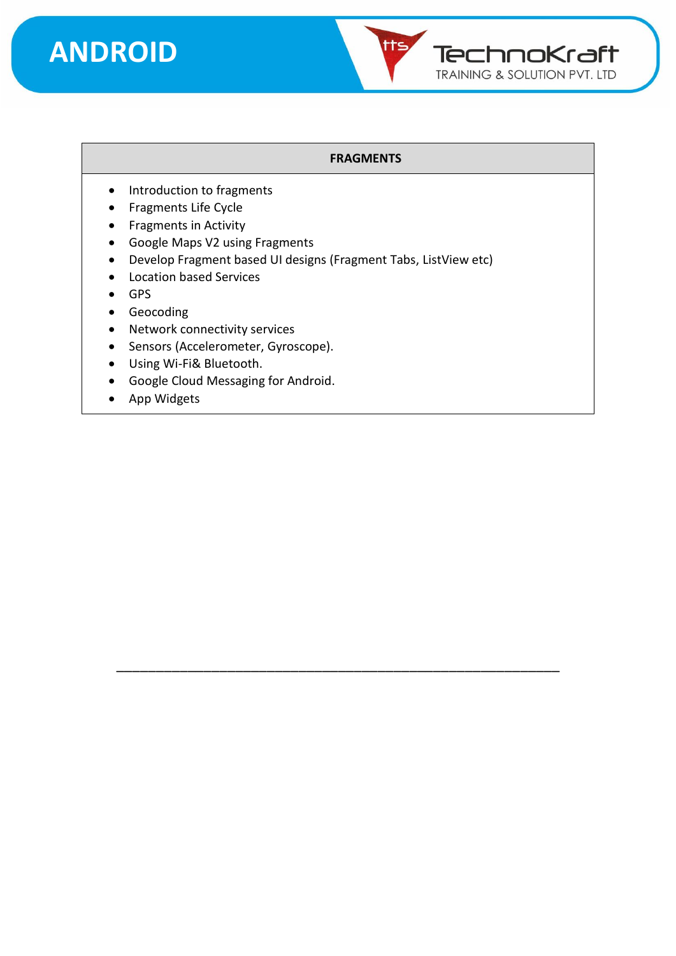



#### **FRAGMENTS**

- Introduction to fragments
- Fragments Life Cycle
- Fragments in Activity
- Google Maps V2 using Fragments
- Develop Fragment based UI designs (Fragment Tabs, ListView etc)

\_\_\_\_\_\_\_\_\_\_\_\_\_\_\_\_\_\_\_\_\_\_\_\_\_\_\_\_\_\_\_\_\_\_\_\_\_\_\_\_\_\_\_\_\_\_\_\_\_\_\_\_\_\_\_\_

- Location based Services
- GPS
- Geocoding
- Network connectivity services
- Sensors (Accelerometer, Gyroscope).
- Using Wi-Fi& Bluetooth.
- Google Cloud Messaging for Android.
- App Widgets